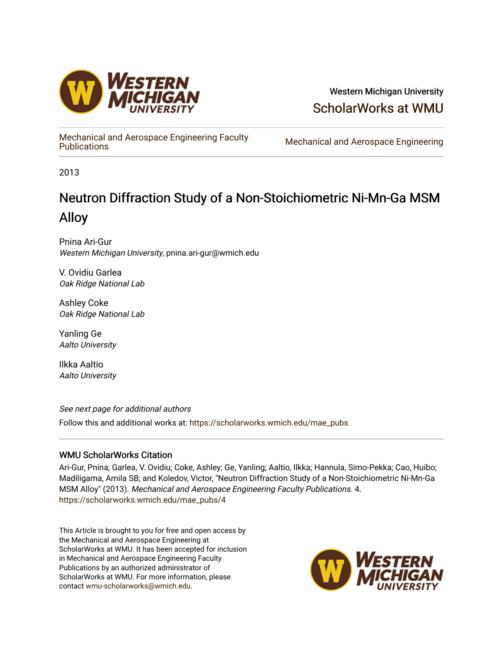

### Western Michigan University [ScholarWorks at WMU](https://scholarworks.wmich.edu/)

[Mechanical and Aerospace Engineering Faculty](https://scholarworks.wmich.edu/mae_pubs) 

Mechanical and Aerospace Engineering

2013

# Neutron Diffraction Study of a Non-Stoichiometric Ni-Mn-Ga MSM Alloy

Pnina Ari-Gur Western Michigan University, pnina.ari-gur@wmich.edu

V. Ovidiu Garlea Oak Ridge National Lab

Ashley Coke Oak Ridge National Lab

Yanling Ge Aalto University

Ilkka Aaltio Aalto University

See next page for additional authors

Follow this and additional works at: [https://scholarworks.wmich.edu/mae\\_pubs](https://scholarworks.wmich.edu/mae_pubs?utm_source=scholarworks.wmich.edu%2Fmae_pubs%2F4&utm_medium=PDF&utm_campaign=PDFCoverPages)

#### WMU ScholarWorks Citation

Ari-Gur, Pnina; Garlea, V. Ovidiu; Coke, Ashley; Ge, Yanling; Aaltio, Ilkka; Hannula, Simo-Pekka; Cao, Huibo; Madiligama, Amila SB; and Koledov, Victor, "Neutron Diffraction Study of a Non-Stoichiometric Ni-Mn-Ga MSM Alloy" (2013). Mechanical and Aerospace Engineering Faculty Publications. 4. [https://scholarworks.wmich.edu/mae\\_pubs/4](https://scholarworks.wmich.edu/mae_pubs/4?utm_source=scholarworks.wmich.edu%2Fmae_pubs%2F4&utm_medium=PDF&utm_campaign=PDFCoverPages) 

This Article is brought to you for free and open access by the Mechanical and Aerospace Engineering at ScholarWorks at WMU. It has been accepted for inclusion in Mechanical and Aerospace Engineering Faculty Publications by an authorized administrator of ScholarWorks at WMU. For more information, please contact [wmu-scholarworks@wmich.edu](mailto:wmu-scholarworks@wmich.edu).

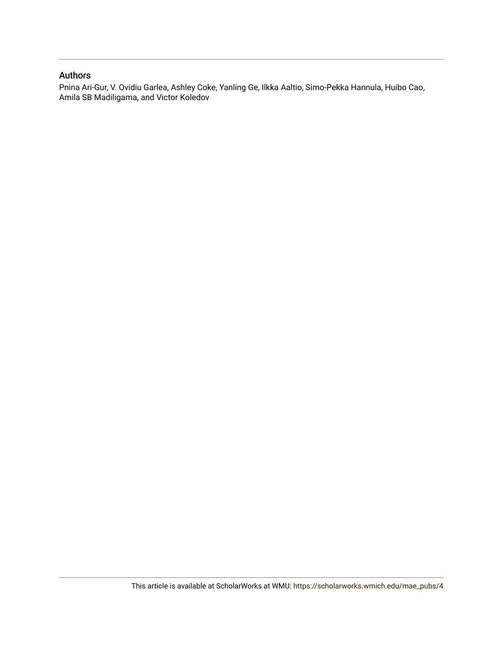#### Authors

Pnina Ari-Gur, V. Ovidiu Garlea, Ashley Coke, Yanling Ge, Ilkka Aaltio, Simo-Pekka Hannula, Huibo Cao, Amila SB Madiligama, and Victor Koledov